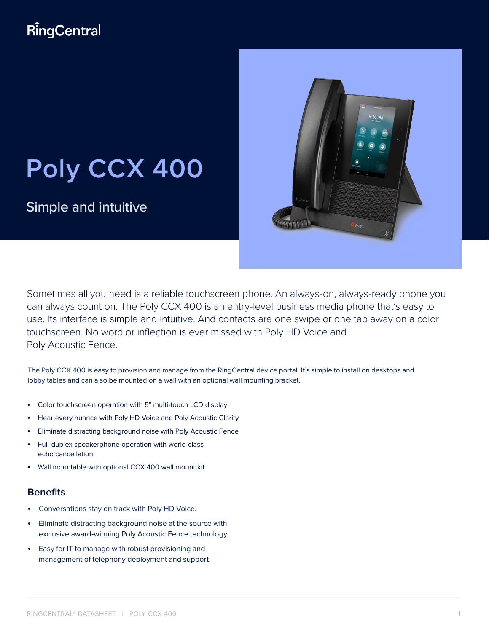## RingCentral

# **Poly CCX 400**

Simple and intuitive



Sometimes all you need is a reliable touchscreen phone. An always-on, always-ready phone you can always count on. The Poly CCX 400 is an entry-level business media phone that's easy to use. Its interface is simple and intuitive. And contacts are one swipe or one tap away on a color touchscreen. No word or inflection is ever missed with Poly HD Voice and Poly Acoustic Fence.

The Poly CCX 400 is easy to provision and manage from the RingCentral device portal. It's simple to install on desktops and lobby tables and can also be mounted on a wall with an optional wall mounting bracket.

- Color touchscreen operation with 5" multi-touch LCD display
- Hear every nuance with Poly HD Voice and Poly Acoustic Clarity
- Eliminate distracting background noise with Poly Acoustic Fence
- Full-duplex speakerphone operation with world-class echo cancellation
- Wall mountable with optional CCX 400 wall mount kit

#### **Benefits**

- Conversations stay on track with Poly HD Voice.
- Eliminate distracting background noise at the source with exclusive award-winning Poly Acoustic Fence technology.
- Easy for IT to manage with robust provisioning and management of telephony deployment and support.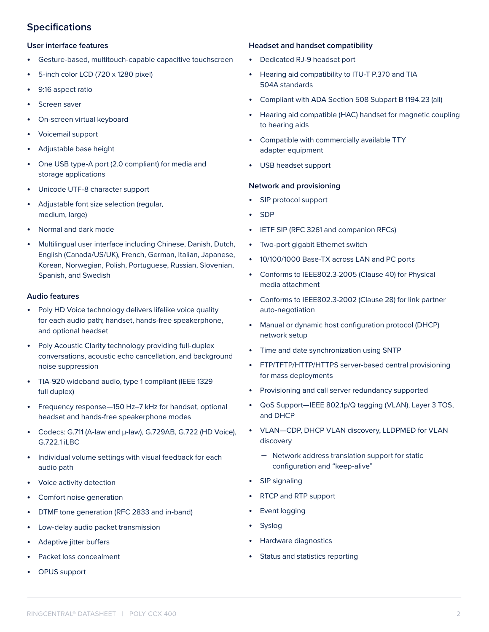#### **Specifications**

#### **User interface features**

- Gesture-based, multitouch-capable capacitive touchscreen
- 5-inch color LCD (720 x 1280 pixel)
- 9:16 aspect ratio
- Screen saver
- On-screen virtual keyboard
- Voicemail support
- Adjustable base height
- One USB type-A port (2.0 compliant) for media and storage applications
- Unicode UTF-8 character support
- Adjustable font size selection (regular, medium, large)
- Normal and dark mode
- Multilingual user interface including Chinese, Danish, Dutch, English (Canada/US/UK), French, German, Italian, Japanese, Korean, Norwegian, Polish, Portuguese, Russian, Slovenian, Spanish, and Swedish

#### **Audio features**

- Poly HD Voice technology delivers lifelike voice quality for each audio path; handset, hands-free speakerphone, and optional headset
- Poly Acoustic Clarity technology providing full-duplex conversations, acoustic echo cancellation, and background noise suppression
- TIA-920 wideband audio, type 1 compliant (IEEE 1329 full duplex)
- Frequency response—150 Hz–7 kHz for handset, optional headset and hands-free speakerphone modes
- Codecs: G.711 (A-law and μ-law), G.729AB, G.722 (HD Voice), G.722.1 iLBC
- Individual volume settings with visual feedback for each audio path
- Voice activity detection
- Comfort noise generation
- DTMF tone generation (RFC 2833 and in-band)
- Low-delay audio packet transmission
- Adaptive jitter buffers
- Packet loss concealment
- OPUS support

#### **Headset and handset compatibility**

- Dedicated RJ-9 headset port
- Hearing aid compatibility to ITU-T P.370 and TIA 504A standards
- Compliant with ADA Section 508 Subpart B 1194.23 (all)
- Hearing aid compatible (HAC) handset for magnetic coupling to hearing aids
- Compatible with commercially available TTY adapter equipment
- USB headset support

#### **Network and provisioning**

- SIP protocol support
- SDP
- IETF SIP (RFC 3261 and companion RFCs)
- Two-port gigabit Ethernet switch
- 10/100/1000 Base-TX across LAN and PC ports
- Conforms to IEEE802.3-2005 (Clause 40) for Physical media attachment
- Conforms to IEEE802.3-2002 (Clause 28) for link partner auto-negotiation
- Manual or dynamic host configuration protocol (DHCP) network setup
- Time and date synchronization using SNTP
- FTP/TFTP/HTTP/HTTPS server-based central provisioning for mass deployments
- Provisioning and call server redundancy supported
- QoS Support—IEEE 802.1p/Q tagging (VLAN), Layer 3 TOS, and DHCP
- VLAN—CDP, DHCP VLAN discovery, LLDPMED for VLAN discovery
	- Network address translation support for static configuration and "keep-alive"
- SIP signaling
- RTCP and RTP support
- **Event logging**
- **Syslog**
- Hardware diagnostics
- Status and statistics reporting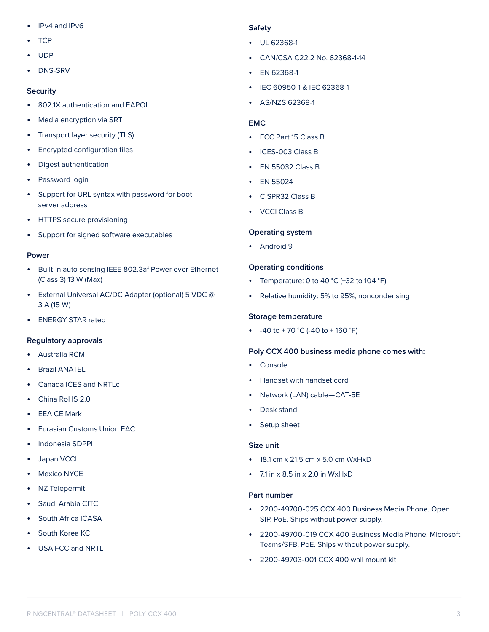- IPv4 and IPv6
- TCP
- UDP
- DNS-SRV

#### **Security**

- 802.1X authentication and EAPOL
- Media encryption via SRT
- Transport layer security (TLS)
- Encrypted configuration files
- Digest authentication
- Password login
- Support for URL syntax with password for boot server address
- HTTPS secure provisioning
- Support for signed software executables

#### **Power**

- Built-in auto sensing IEEE 802.3af Power over Ethernet (Class 3) 13 W (Max)
- External Universal AC/DC Adapter (optional) 5 VDC @ 3 A (15 W)
- ENERGY STAR rated

#### **Regulatory approvals**

- Australia RCM
- Brazil ANATEL
- Canada ICES and NRTLc
- China RoHS 2.0
- EEA CE Mark
- Eurasian Customs Union EAC
- Indonesia SDPPI
- Japan VCCI
- **Mexico NYCE**
- NZ Telepermit
- Saudi Arabia CITC
- South Africa ICASA
- South Korea KC
- USA FCC and NRTL

#### **Safety**

- UL 62368-1
- CAN/CSA C22.2 No. 62368-1-14
- EN 62368-1
- IEC 60950-1 & IEC 62368-1
- AS/NZS 62368-1

#### **EMC**

- FCC Part 15 Class B
- ICES-003 Class B
- EN 55032 Class B
- EN 55024
- CISPR32 Class B
- VCCI Class B

#### **Operating system**

• Android 9

#### **Operating conditions**

- Temperature: 0 to 40  $^{\circ}$ C (+32 to 104  $^{\circ}$ F)
- Relative humidity: 5% to 95%, noncondensing

#### **Storage temperature**

•  $-40$  to  $+70$  °C (-40 to  $+160$  °F)

#### **Poly CCX 400 business media phone comes with:**

- Console
- Handset with handset cord
- Network (LAN) cable—CAT-5E
- Desk stand
- Setup sheet

#### **Size unit**

- 18.1 cm x 21.5 cm x 5.0 cm WxHxD
- $\cdot$  7.1 in  $\times$  8.5 in  $\times$  2.0 in WxHxD

#### **Part number**

- 2200-49700-025 CCX 400 Business Media Phone. Open SIP. PoE. Ships without power supply.
- 2200-49700-019 CCX 400 Business Media Phone. Microsoft Teams/SFB. PoE. Ships without power supply.
- 2200-49703-001 CCX 400 wall mount kit